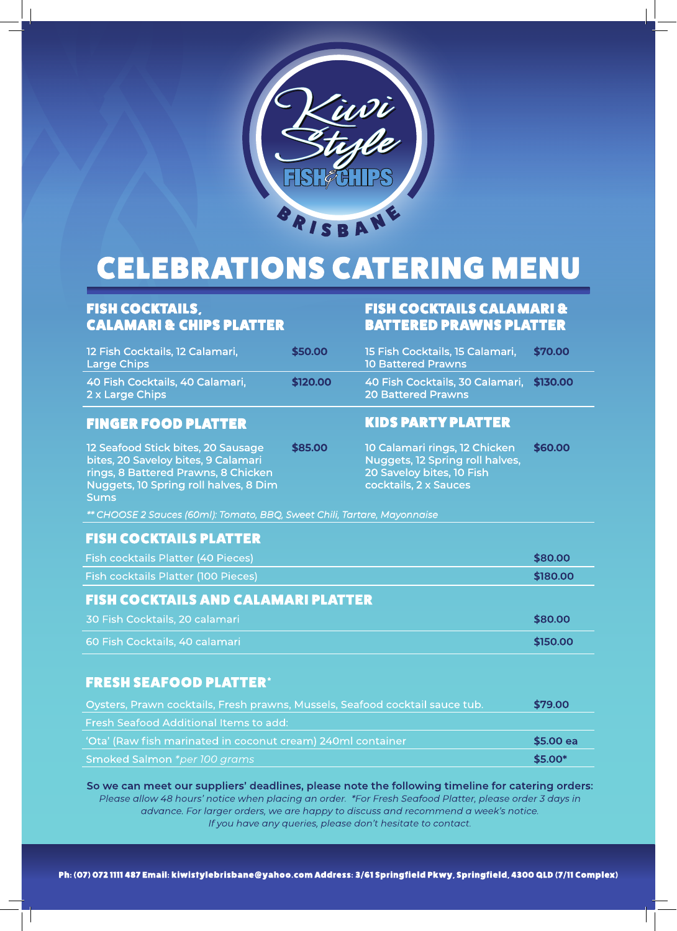

# **CELEBRATIONS CATERING MENU**

# FISH COCKTAILS, CALAMARI & CHIPS PLATTER

| 12 Fish Cocktails, 12 Calamari,<br><b>Large Chips</b> | \$50.00 |
|-------------------------------------------------------|---------|
| 40 Fish Cocktails, 40 Calamari,<br>2 x Large Chips    | \$120.0 |

### **FINGER FOOD PLATTER**

12 Seafood Stick bites, 20 Sausage bites, 20 Saveloy bites, 9 Calamari rings, 8 Battered Prawns, 8 Chicken Nuggets, 10 Spring roll halves, 8 Dim Sums

### FISH COCKTAILS CALAMARI & BATTERED PRAWNS PLATTER

| \$50.00  | 15 Fish Cocktails, 15 Calamari,<br><b>10 Battered Prawns</b>          | \$70.00 |
|----------|-----------------------------------------------------------------------|---------|
| \$120.00 | 40 Fish Cocktails, 30 Calamari, \$130.00<br><b>20 Battered Prawns</b> |         |
|          | KINS DAPTY DI ATTEP                                                   |         |

## **\$85.00** 10 Calamari rings, 12 Chicken **\$60.00**

Nuggets, 12 Spring roll halves, 20 Saveloy bites, 10 Fish cocktails, 2 x Sauces

*\*\* CHOOSE 2 Sauces (60ml): Tomato, BBQ, Sweet Chili, Tartare, Mayonnaise*

### **FISH COCKTAILS PLATTER**

| Fish cocktails Platter (40 Pieces)         | \$80.00  |
|--------------------------------------------|----------|
| Fish cocktails Platter (100 Pieces)        | \$180.00 |
| <b>FISH COCKTAILS AND CALAMARI PLATTER</b> |          |
| 30 Fish Cocktails, 20 calamari             | \$80.00  |
| 60 Fish Cocktails, 40 calamari             | \$150.00 |

## **FRESH SEAFOOD PLATTER\***

| Oysters, Prawn cocktails, Fresh prawns, Mussels, Seafood cocktail sauce tub. | \$79.00   |
|------------------------------------------------------------------------------|-----------|
| <b>Fresh Seafood Additional Items to add:</b>                                |           |
| 'Ota' (Raw fish marinated in coconut cream) 240ml container                  | \$5.00 ea |
| Smoked Salmon *per 100 grams                                                 | \$5.00*   |

So we can meet our suppliers' deadlines, please note the following timeline for catering orders: Please allow 48 hours' notice when placing an order. \*For Fresh Seafood Platter, please order 3 days in advance. For larger orders, we are happy to discuss and recommend a week's notice. If you have any queries, please don't hesitate to contact.